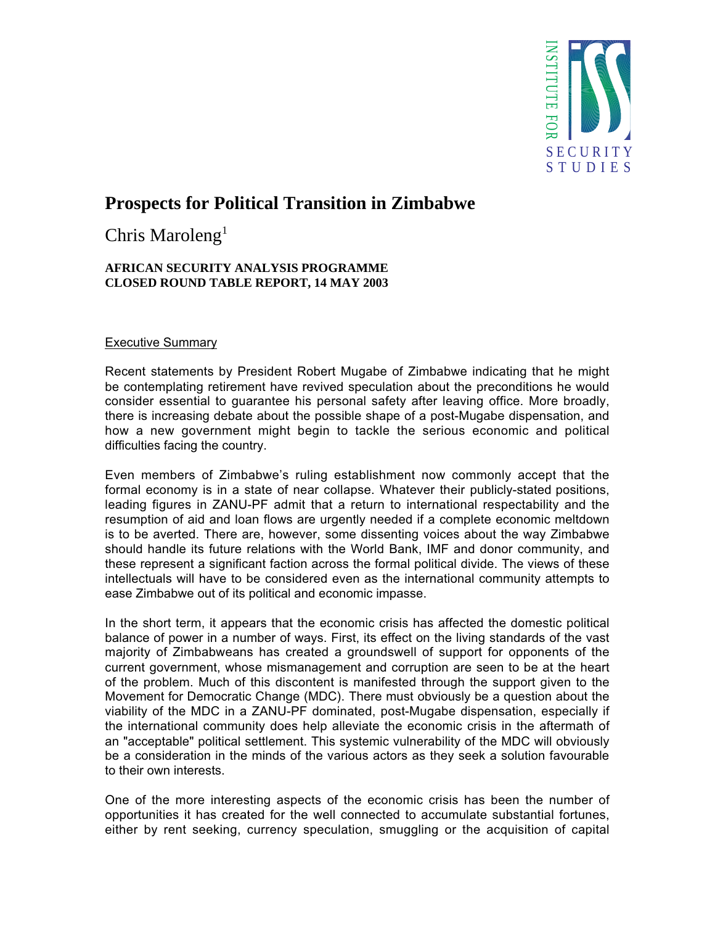

# **Prospects for Political Transition in Zimbabwe**

Chris Maroleng<sup>1</sup>

## **AFRICAN SECURITY ANALYSIS PROGRAMME CLOSED ROUND TABLE REPORT, 14 MAY 2003**

# Executive Summary

Recent statements by President Robert Mugabe of Zimbabwe indicating that he might be contemplating retirement have revived speculation about the preconditions he would consider essential to guarantee his personal safety after leaving office. More broadly, there is increasing debate about the possible shape of a post-Mugabe dispensation, and how a new government might begin to tackle the serious economic and political difficulties facing the country.

Even members of Zimbabwe's ruling establishment now commonly accept that the formal economy is in a state of near collapse. Whatever their publicly-stated positions, leading figures in ZANU-PF admit that a return to international respectability and the resumption of aid and loan flows are urgently needed if a complete economic meltdown is to be averted. There are, however, some dissenting voices about the way Zimbabwe should handle its future relations with the World Bank, IMF and donor community, and these represent a significant faction across the formal political divide. The views of these intellectuals will have to be considered even as the international community attempts to ease Zimbabwe out of its political and economic impasse.

In the short term, it appears that the economic crisis has affected the domestic political balance of power in a number of ways. First, its effect on the living standards of the vast majority of Zimbabweans has created a groundswell of support for opponents of the current government, whose mismanagement and corruption are seen to be at the heart of the problem. Much of this discontent is manifested through the support given to the Movement for Democratic Change (MDC). There must obviously be a question about the viability of the MDC in a ZANU-PF dominated, post-Mugabe dispensation, especially if the international community does help alleviate the economic crisis in the aftermath of an "acceptable" political settlement. This systemic vulnerability of the MDC will obviously be a consideration in the minds of the various actors as they seek a solution favourable to their own interests. **Examen the second or the actual in the actual in the actual in the actual in the actual information of currency speculation, smuggling or the accumulation of the actual information of capital information of capital infor** 

One of the more interesting aspects of the economic crisis has been the number of opportunities it has created for the well connected to accumulate substantial fortunes,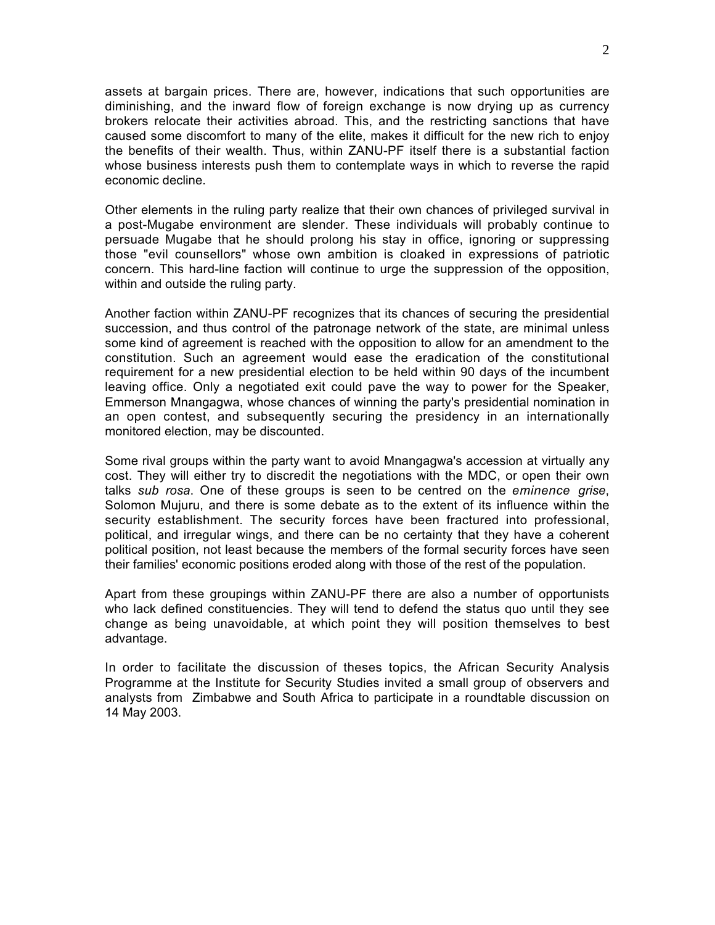assets at bargain prices. There are, however, indications that such opportunities are diminishing, and the inward flow of foreign exchange is now drying up as currency brokers relocate their activities abroad. This, and the restricting sanctions that have caused some discomfort to many of the elite, makes it difficult for the new rich to enjoy the benefits of their wealth. Thus, within ZANU-PF itself there is a substantial faction whose business interests push them to contemplate ways in which to reverse the rapid economic decline.

Other elements in the ruling party realize that their own chances of privileged survival in a post-Mugabe environment are slender. These individuals will probably continue to persuade Mugabe that he should prolong his stay in office, ignoring or suppressing those "evil counsellors" whose own ambition is cloaked in expressions of patriotic concern. This hard-line faction will continue to urge the suppression of the opposition, within and outside the ruling party.

Another faction within ZANU-PF recognizes that its chances of securing the presidential succession, and thus control of the patronage network of the state, are minimal unless some kind of agreement is reached with the opposition to allow for an amendment to the constitution. Such an agreement would ease the eradication of the constitutional requirement for a new presidential election to be held within 90 days of the incumbent leaving office. Only a negotiated exit could pave the way to power for the Speaker, Emmerson Mnangagwa, whose chances of winning the party's presidential nomination in an open contest, and subsequently securing the presidency in an internationally monitored election, may be discounted.

Some rival groups within the party want to avoid Mnangagwa's accession at virtually any cost. They will either try to discredit the negotiations with the MDC, or open their own talks *sub rosa*. One of these groups is seen to be centred on the *eminence grise*, Solomon Mujuru, and there is some debate as to the extent of its influence within the security establishment. The security forces have been fractured into professional, political, and irregular wings, and there can be no certainty that they have a coherent political position, not least because the members of the formal security forces have seen their families' economic positions eroded along with those of the rest of the population.

Apart from these groupings within ZANU-PF there are also a number of opportunists who lack defined constituencies. They will tend to defend the status quo until they see change as being unavoidable, at which point they will position themselves to best advantage.

In order to facilitate the discussion of theses topics, the African Security Analysis Programme at the Institute for Security Studies invited a small group of observers and analysts from Zimbabwe and South Africa to participate in a roundtable discussion on 14 May 2003.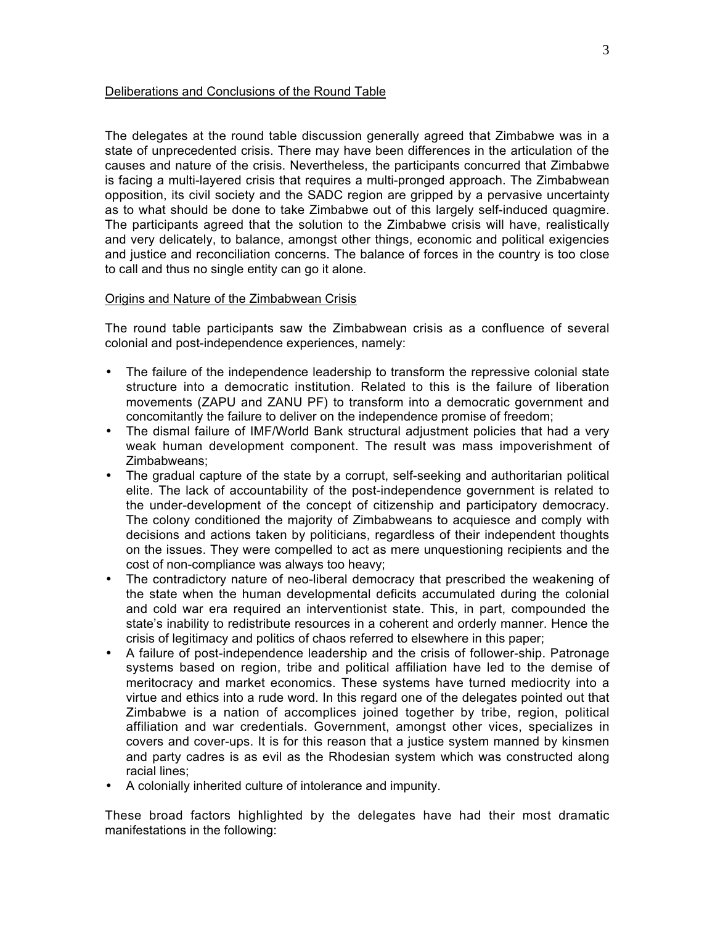#### Deliberations and Conclusions of the Round Table

The delegates at the round table discussion generally agreed that Zimbabwe was in a state of unprecedented crisis. There may have been differences in the articulation of the causes and nature of the crisis. Nevertheless, the participants concurred that Zimbabwe is facing a multi-layered crisis that requires a multi-pronged approach. The Zimbabwean opposition, its civil society and the SADC region are gripped by a pervasive uncertainty as to what should be done to take Zimbabwe out of this largely self-induced quagmire. The participants agreed that the solution to the Zimbabwe crisis will have, realistically and very delicately, to balance, amongst other things, economic and political exigencies and justice and reconciliation concerns. The balance of forces in the country is too close to call and thus no single entity can go it alone.

## Origins and Nature of the Zimbabwean Crisis

The round table participants saw the Zimbabwean crisis as a confluence of several colonial and post-independence experiences, namely:

- The failure of the independence leadership to transform the repressive colonial state structure into a democratic institution. Related to this is the failure of liberation movements (ZAPU and ZANU PF) to transform into a democratic government and concomitantly the failure to deliver on the independence promise of freedom;
- The dismal failure of IMF/World Bank structural adjustment policies that had a very weak human development component. The result was mass impoverishment of Zimbabweans;
- The gradual capture of the state by a corrupt, self-seeking and authoritarian political elite. The lack of accountability of the post-independence government is related to the under-development of the concept of citizenship and participatory democracy. The colony conditioned the majority of Zimbabweans to acquiesce and comply with decisions and actions taken by politicians, regardless of their independent thoughts on the issues. They were compelled to act as mere unquestioning recipients and the cost of non-compliance was always too heavy;
- The contradictory nature of neo-liberal democracy that prescribed the weakening of the state when the human developmental deficits accumulated during the colonial and cold war era required an interventionist state. This, in part, compounded the state's inability to redistribute resources in a coherent and orderly manner. Hence the crisis of legitimacy and politics of chaos referred to elsewhere in this paper;
- A failure of post-independence leadership and the crisis of follower-ship. Patronage systems based on region, tribe and political affiliation have led to the demise of meritocracy and market economics. These systems have turned mediocrity into a virtue and ethics into a rude word. In this regard one of the delegates pointed out that Zimbabwe is a nation of accomplices joined together by tribe, region, political affiliation and war credentials. Government, amongst other vices, specializes in covers and cover-ups. It is for this reason that a justice system manned by kinsmen and party cadres is as evil as the Rhodesian system which was constructed along racial lines;
- A colonially inherited culture of intolerance and impunity.

These broad factors highlighted by the delegates have had their most dramatic manifestations in the following: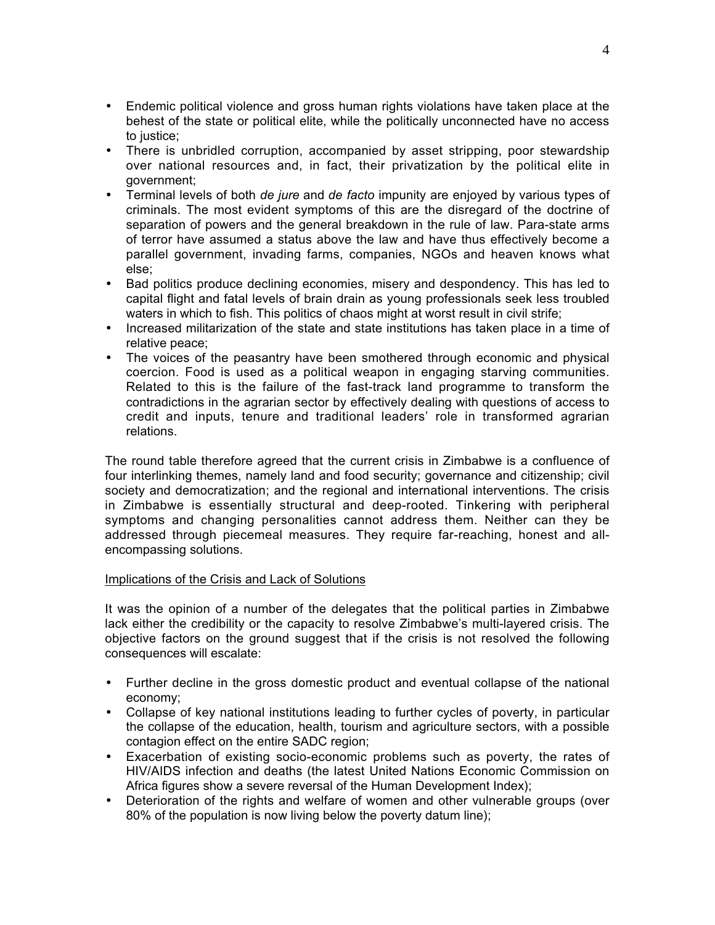- Endemic political violence and gross human rights violations have taken place at the behest of the state or political elite, while the politically unconnected have no access to justice;
- There is unbridled corruption, accompanied by asset stripping, poor stewardship over national resources and, in fact, their privatization by the political elite in government;
- Terminal levels of both *de jure* and *de facto* impunity are enjoyed by various types of criminals. The most evident symptoms of this are the disregard of the doctrine of separation of powers and the general breakdown in the rule of law. Para-state arms of terror have assumed a status above the law and have thus effectively become a parallel government, invading farms, companies, NGOs and heaven knows what else;
- Bad politics produce declining economies, misery and despondency. This has led to capital flight and fatal levels of brain drain as young professionals seek less troubled waters in which to fish. This politics of chaos might at worst result in civil strife;
- Increased militarization of the state and state institutions has taken place in a time of relative peace;
- The voices of the peasantry have been smothered through economic and physical coercion. Food is used as a political weapon in engaging starving communities. Related to this is the failure of the fast-track land programme to transform the contradictions in the agrarian sector by effectively dealing with questions of access to credit and inputs, tenure and traditional leaders' role in transformed agrarian relations.

The round table therefore agreed that the current crisis in Zimbabwe is a confluence of four interlinking themes, namely land and food security; governance and citizenship; civil society and democratization; and the regional and international interventions. The crisis in Zimbabwe is essentially structural and deep-rooted. Tinkering with peripheral symptoms and changing personalities cannot address them. Neither can they be addressed through piecemeal measures. They require far-reaching, honest and allencompassing solutions.

# Implications of the Crisis and Lack of Solutions

It was the opinion of a number of the delegates that the political parties in Zimbabwe lack either the credibility or the capacity to resolve Zimbabwe's multi-layered crisis. The objective factors on the ground suggest that if the crisis is not resolved the following consequences will escalate:

- Further decline in the gross domestic product and eventual collapse of the national economy;
- Collapse of key national institutions leading to further cycles of poverty, in particular the collapse of the education, health, tourism and agriculture sectors, with a possible contagion effect on the entire SADC region;
- Exacerbation of existing socio-economic problems such as poverty, the rates of HIV/AIDS infection and deaths (the latest United Nations Economic Commission on Africa figures show a severe reversal of the Human Development Index);
- Deterioration of the rights and welfare of women and other vulnerable groups (over 80% of the population is now living below the poverty datum line);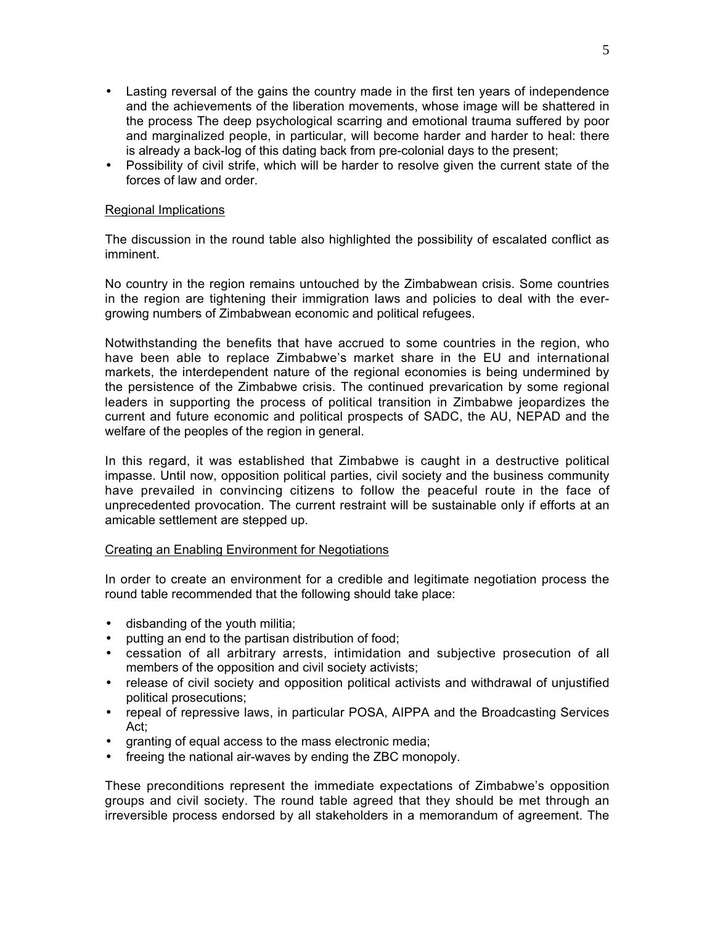- Lasting reversal of the gains the country made in the first ten years of independence and the achievements of the liberation movements, whose image will be shattered in the process The deep psychological scarring and emotional trauma suffered by poor and marginalized people, in particular, will become harder and harder to heal: there is already a back-log of this dating back from pre-colonial days to the present;
- Possibility of civil strife, which will be harder to resolve given the current state of the forces of law and order.

## Regional Implications

The discussion in the round table also highlighted the possibility of escalated conflict as imminent.

No country in the region remains untouched by the Zimbabwean crisis. Some countries in the region are tightening their immigration laws and policies to deal with the evergrowing numbers of Zimbabwean economic and political refugees.

Notwithstanding the benefits that have accrued to some countries in the region, who have been able to replace Zimbabwe's market share in the EU and international markets, the interdependent nature of the regional economies is being undermined by the persistence of the Zimbabwe crisis. The continued prevarication by some regional leaders in supporting the process of political transition in Zimbabwe jeopardizes the current and future economic and political prospects of SADC, the AU, NEPAD and the welfare of the peoples of the region in general.

In this regard, it was established that Zimbabwe is caught in a destructive political impasse. Until now, opposition political parties, civil society and the business community have prevailed in convincing citizens to follow the peaceful route in the face of unprecedented provocation. The current restraint will be sustainable only if efforts at an amicable settlement are stepped up.

#### Creating an Enabling Environment for Negotiations

In order to create an environment for a credible and legitimate negotiation process the round table recommended that the following should take place:

- disbanding of the youth militia;
- putting an end to the partisan distribution of food;
- cessation of all arbitrary arrests, intimidation and subjective prosecution of all members of the opposition and civil society activists;
- release of civil society and opposition political activists and withdrawal of unjustified political prosecutions;
- repeal of repressive laws, in particular POSA, AIPPA and the Broadcasting Services Act;
- granting of equal access to the mass electronic media;
- freeing the national air-waves by ending the ZBC monopoly.

These preconditions represent the immediate expectations of Zimbabwe's opposition groups and civil society. The round table agreed that they should be met through an irreversible process endorsed by all stakeholders in a memorandum of agreement. The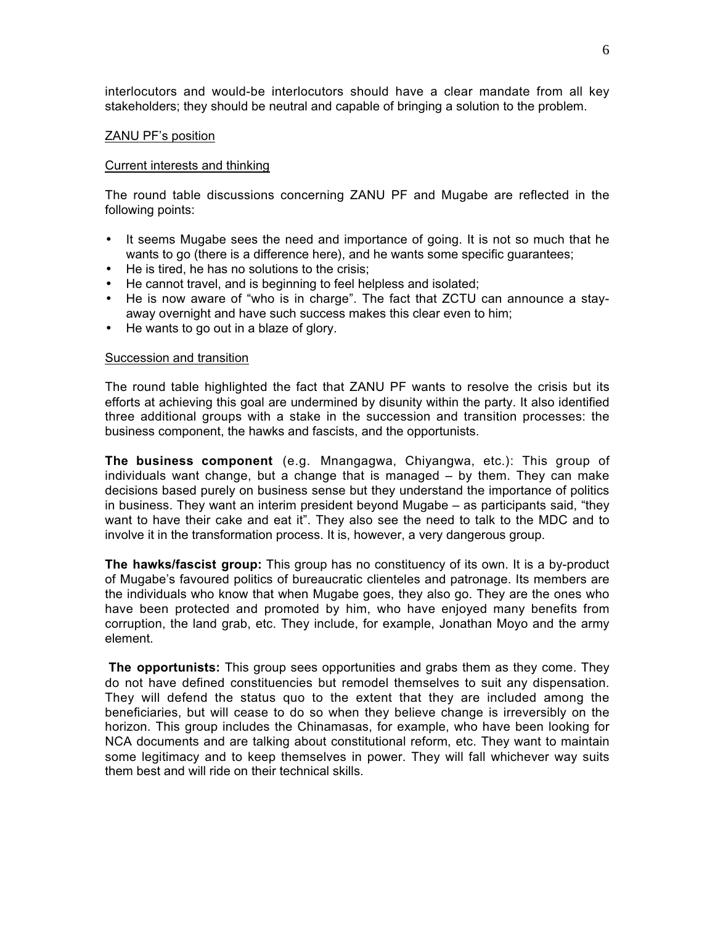interlocutors and would-be interlocutors should have a clear mandate from all key stakeholders; they should be neutral and capable of bringing a solution to the problem.

#### ZANU PF's position

#### Current interests and thinking

The round table discussions concerning ZANU PF and Mugabe are reflected in the following points:

- It seems Mugabe sees the need and importance of going. It is not so much that he wants to go (there is a difference here), and he wants some specific guarantees;
- He is tired, he has no solutions to the crisis;
- He cannot travel, and is beginning to feel helpless and isolated;
- He is now aware of "who is in charge". The fact that ZCTU can announce a stayaway overnight and have such success makes this clear even to him;
- He wants to go out in a blaze of glory.

#### Succession and transition

The round table highlighted the fact that ZANU PF wants to resolve the crisis but its efforts at achieving this goal are undermined by disunity within the party. It also identified three additional groups with a stake in the succession and transition processes: the business component, the hawks and fascists, and the opportunists.

**The business component** (e.g. Mnangagwa, Chiyangwa, etc.): This group of individuals want change, but a change that is managed – by them. They can make decisions based purely on business sense but they understand the importance of politics in business. They want an interim president beyond Mugabe – as participants said, "they want to have their cake and eat it". They also see the need to talk to the MDC and to involve it in the transformation process. It is, however, a very dangerous group.

**The hawks/fascist group:** This group has no constituency of its own. It is a by-product of Mugabe's favoured politics of bureaucratic clienteles and patronage. Its members are the individuals who know that when Mugabe goes, they also go. They are the ones who have been protected and promoted by him, who have enjoyed many benefits from corruption, the land grab, etc. They include, for example, Jonathan Moyo and the army element.

**The opportunists:** This group sees opportunities and grabs them as they come. They do not have defined constituencies but remodel themselves to suit any dispensation. They will defend the status quo to the extent that they are included among the beneficiaries, but will cease to do so when they believe change is irreversibly on the horizon. This group includes the Chinamasas, for example, who have been looking for NCA documents and are talking about constitutional reform, etc. They want to maintain some legitimacy and to keep themselves in power. They will fall whichever way suits them best and will ride on their technical skills.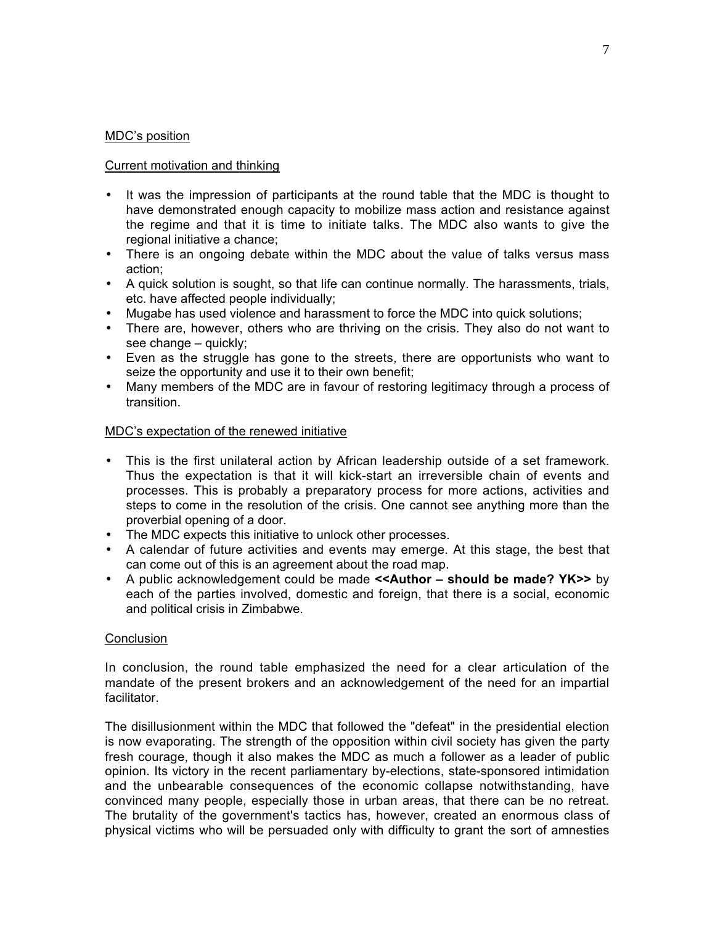## MDC's position

## Current motivation and thinking

- It was the impression of participants at the round table that the MDC is thought to have demonstrated enough capacity to mobilize mass action and resistance against the regime and that it is time to initiate talks. The MDC also wants to give the regional initiative a chance;
- There is an ongoing debate within the MDC about the value of talks versus mass action;
- A quick solution is sought, so that life can continue normally. The harassments, trials, etc. have affected people individually;
- Mugabe has used violence and harassment to force the MDC into quick solutions;
- There are, however, others who are thriving on the crisis. They also do not want to see change – quickly;
- Even as the struggle has gone to the streets, there are opportunists who want to seize the opportunity and use it to their own benefit;
- Many members of the MDC are in favour of restoring legitimacy through a process of transition.

## MDC's expectation of the renewed initiative

- This is the first unilateral action by African leadership outside of a set framework. Thus the expectation is that it will kick-start an irreversible chain of events and processes. This is probably a preparatory process for more actions, activities and steps to come in the resolution of the crisis. One cannot see anything more than the proverbial opening of a door.
- The MDC expects this initiative to unlock other processes.
- A calendar of future activities and events may emerge. At this stage, the best that can come out of this is an agreement about the road map.
- A public acknowledgement could be made **<<Author should be made? YK>>** by each of the parties involved, domestic and foreign, that there is a social, economic and political crisis in Zimbabwe.

## **Conclusion**

In conclusion, the round table emphasized the need for a clear articulation of the mandate of the present brokers and an acknowledgement of the need for an impartial facilitator.

The disillusionment within the MDC that followed the "defeat" in the presidential election is now evaporating. The strength of the opposition within civil society has given the party fresh courage, though it also makes the MDC as much a follower as a leader of public opinion. Its victory in the recent parliamentary by-elections, state-sponsored intimidation and the unbearable consequences of the economic collapse notwithstanding, have convinced many people, especially those in urban areas, that there can be no retreat. The brutality of the government's tactics has, however, created an enormous class of physical victims who will be persuaded only with difficulty to grant the sort of amnesties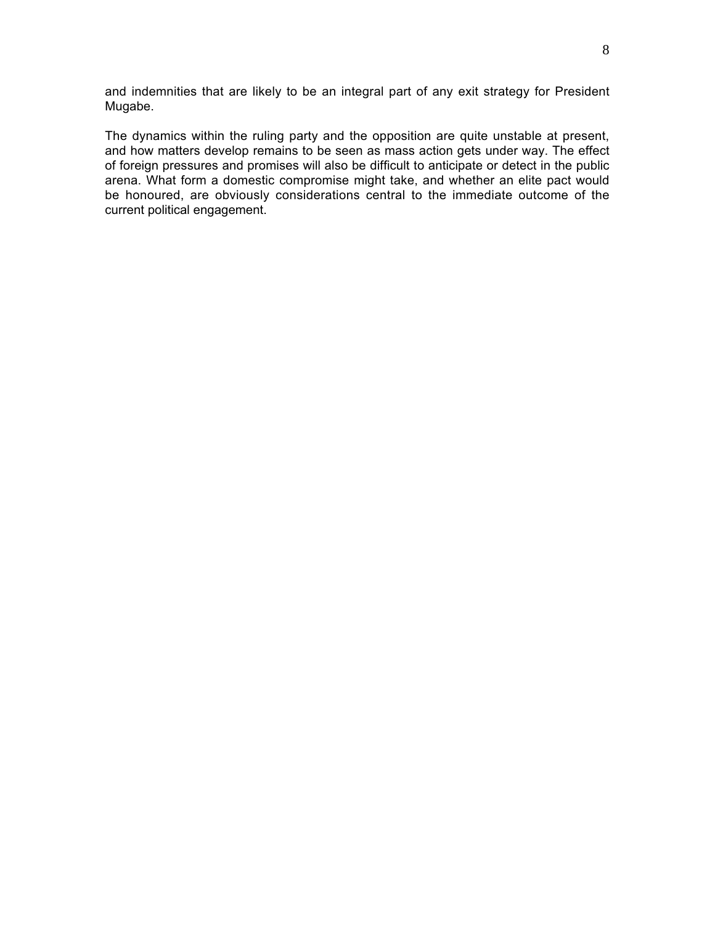and indemnities that are likely to be an integral part of any exit strategy for President Mugabe.

The dynamics within the ruling party and the opposition are quite unstable at present, and how matters develop remains to be seen as mass action gets under way. The effect of foreign pressures and promises will also be difficult to anticipate or detect in the public arena. What form a domestic compromise might take, and whether an elite pact would be honoured, are obviously considerations central to the immediate outcome of the current political engagement.